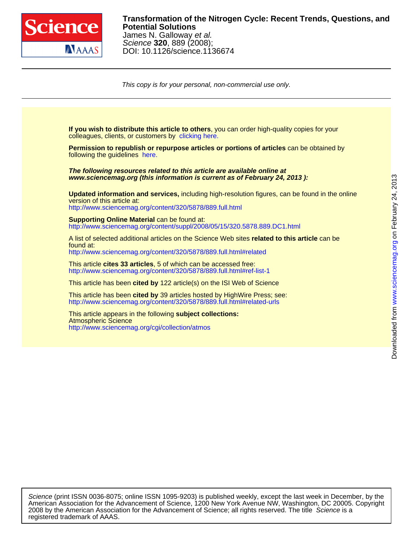

## DOI: 10.1126/science.1136674 Science **320**, 889 (2008); James N. Galloway et al. **Potential Solutions Transformation of the Nitrogen Cycle: Recent Trends, Questions, and**

on February 24, 2013

[www.sciencemag.org](http://www.sciencemag.org/)

Downloaded from www.sciencemag.org on February 24, 2013

Downloaded from

This copy is for your personal, non-commercial use only.

colleagues, clients, or customers by [clicking here.](http://www.sciencemag.org/about/permissions.dtl) **If you wish to distribute this article to others**, you can order high-quality copies for your following the guidelines [here.](http://www.sciencemag.org/about/permissions.dtl) **Permission to republish or repurpose articles or portions of articles** can be obtained by **www.sciencemag.org (this information is current as of February 24, 2013 ): The following resources related to this article are available online at** <http://www.sciencemag.org/content/320/5878/889.full.html> version of this article at: **Updated information and services,** including high-resolution figures, can be found in the online http://www.sciencemag.org/content/suppl/2008/05/15/320.5878.889.DC1.html **Supporting Online Material can be found at:** <http://www.sciencemag.org/content/320/5878/889.full.html#related> found at: A list of selected additional articles on the Science Web sites **related to this article** can be <http://www.sciencemag.org/content/320/5878/889.full.html#ref-list-1> This article **cites 33 articles**, 5 of which can be accessed free: This article has been **cited by** 122 article(s) on the ISI Web of Science <http://www.sciencemag.org/content/320/5878/889.full.html#related-urls> This article has been **cited by** 39 articles hosted by HighWire Press; see: <http://www.sciencemag.org/cgi/collection/atmos> Atmospheric Science This article appears in the following **subject collections:**

registered trademark of AAAS. 2008 by the American Association for the Advancement of Science; all rights reserved. The title Science is a American Association for the Advancement of Science, 1200 New York Avenue NW, Washington, DC 20005. Copyright Science (print ISSN 0036-8075; online ISSN 1095-9203) is published weekly, except the last week in December, by the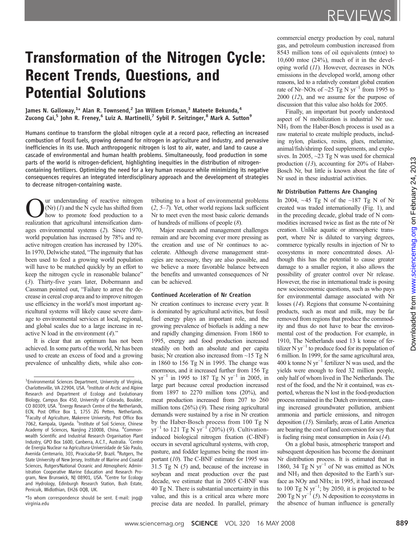# Transformation of the Nitrogen Cycle: Recent Trends, Questions, and Potential Solutions

James N. Galloway, $^{1\star}$  Alan R. Townsend, $^2$  Jan Willem Erisman, $^3$  Mateete Bekunda, $^4$ Zucong Cai,<sup>5</sup> John R. Freney,<sup>6</sup> Luiz A. Martinelli,<sup>7</sup> Sybil P. Seitzinger,<sup>8</sup> Mark A. Sutton<sup>9</sup>

Humans continue to transform the global nitrogen cycle at a record pace, reflecting an increased combustion of fossil fuels, growing demand for nitrogen in agriculture and industry, and pervasive inefficiencies in its use. Much anthropogenic nitrogen is lost to air, water, and land to cause a cascade of environmental and human health problems. Simultaneously, food production in some parts of the world is nitrogen-deficient, highlighting inequities in the distribution of nitrogencontaining fertilizers. Optimizing the need for a key human resource while minimizing its negative consequences requires an integrated interdisciplinary approach and the development of strategies to decrease nitrogen-containing waste.

ur understanding of reactive nitrogen  $(Nr)$  (1) and the N cycle has shifted from how to promote food production to a realization that agricultural intensification damages environmental systems (2). Since 1970, world population has increased by 78% and reactive nitrogen creation has increased by 120%. In 1970, Delwiche stated, "The ingenuity that has been used to feed a growing world population will have to be matched quickly by an effort to keep the nitrogen cycle in reasonable balance" (3). Thirty-five years later, Dobermann and Cassman pointed out, "Failure to arrest the decrease in cereal crop area and to improve nitrogen use efficiency in the world's most important agricultural systems will likely cause severe damage to environmental services at local, regional, and global scales due to a large increase in reactive N load in the environment  $(4)$ ."

It is clear that an optimum has not been achieved. In some parts of the world, Nr has been used to create an excess of food and a growing prevalence of unhealthy diets, while also con-

\*To whom correspondence should be sent. E-mail: jng@ virginia.edu

tributing to a host of environmental problems (2, 5–7). Yet, other world regions lack sufficient Nr to meet even the most basic caloric demands of hundreds of millions of people (8).

Major research and management challenges remain and are becoming ever more pressing as the creation and use of Nr continues to accelerate. Although diverse management strategies are necessary, they are also possible, and we believe a more favorable balance between the benefits and unwanted consequences of Nr can be achieved.

## Continued Acceleration of Nr Creation

Nr creation continues to increase every year. It is dominated by agricultural activities, but fossil fuel energy plays an important role, and the growing prevalence of biofuels is adding a new and rapidly changing dimension. From 1860 to 1995, energy and food production increased steadily on both an absolute and per capita basis; Nr creation also increased from  $\sim$ 15 Tg N in 1860 to 156 Tg N in 1995. The change was enormous, and it increased further from 156 Tg N yr<sup>-1</sup> in 1995 to 187 Tg N yr<sup>-1</sup> in 2005, in large part because cereal production increased from 1897 to 2270 million tons (20%), and meat production increased from 207 to 260 million tons (26%) (9). These rising agricultural demands were sustained by a rise in Nr creation by the Haber-Bosch process from 100 Tg N  $yr^{-1}$  to 121 Tg N  $yr^{-1}$  (20%) (9). Cultivationinduced biological nitrogen fixation (C-BNF) occurs in several agricultural systems, with crop, pasture, and fodder legumes being the most important (10). The C-BNF estimate for 1995 was 31.5 Tg  $N(5)$  and, because of the increase in soybean and meat production over the past decade, we estimate that in 2005 C-BNF was 40 Tg N. There is substantial uncertainty in this value, and this is a critical area where more precise data are needed. In parallel, primary

commercial energy production by coal, natural gas, and petroleum combustion increased from 8543 million tons of oil equivalents (mtoe) to  $10,600$  mtoe  $(24\%)$ , much of it in the developing world (11). However, decreases in NOx emissions in the developed world, among other reasons, led to a relatively constant global creation rate of Nr–NOx of ~25 Tg N yr<sup>-1</sup> from 1995 to  $2000$   $(12)$ , and we assume for the purpose of discussion that this value also holds for 2005.

Finally, an important but poorly understood aspect of N mobilization is industrial Nr use. NH3 from the Haber-Bosch process is used as a raw material to create multiple products, including nylon, plastics, resins, glues, melamine, animal/fish/shrimp feed supplements, and explosives. In 2005,  $\sim$ 23 Tg N was used for chemical production (13), accounting for 20% of Haber-Bosch Nr, but little is known about the fate of Nr used in these industrial activities.

#### Nr Distribution Patterns Are Changing

In 2004,  $\sim$ 45 Tg N of the  $\sim$ 187 Tg N of Nr created was traded internationally (Fig. 1), and in the preceding decade, global trade of N commodities increased twice as fast as the rate of Nr creation. Unlike aquatic or atmospheric transport, where Nr is diluted to varying degrees, commerce typically results in injection of Nr to ecosystems in more concentrated doses. Although this has the potential to cause greater damage to a smaller region, it also allows the possibility of greater control over Nr release. However, the rise in international trade is posing new socioeconomic questions, such as who pays for environmental damage associated with Nr losses (14). Regions that consume N-containing products, such as meat and milk, may be far removed from regions that produce the commodity and thus do not have to bear the environmental cost of the production. For example, in 1910, The Netherlands used 13 k tonne of fertilizer N yr<sup> $-1$ </sup> to produce food for its population of 6 million. In 1999, for the same agricultural area, 400 k tonne N yr−<sup>1</sup> fertilizer N was used, and the yields were enough to feed 32 million people, only half of whom lived in The Netherlands. The rest of the food, and the Nr it contained, was exported, whereas the N lost in the food-production process remained in the Dutch environment, causing increased groundwater pollution, ambient ammonia and particle emissions, and nitrogen deposition (15). Similarly, areas of Latin America are bearing the cost of land conversion for soy that is fueling rising meat consumption in Asia (14).

On a global basis, atmospheric transport and subsequent deposition has become the dominant Nr distribution process. It is estimated that in 1860, 34 Tg N  $yr^{-1}$  of Nr was emitted as NOx and  $NH<sub>3</sub>$  and then deposited to the Earth's surface as NOy and NHx; in 1995, it had increased to 100 Tg N  $yr^{-1}$ ; by 2050, it is projected to be 200 Tg N yr<sup>-1</sup> (5). N deposition to ecosystems in the absence of human influence is generally

<sup>&</sup>lt;sup>1</sup> Environmental Sciences Department, University of Virginia, Charlottesville, VA 22904, USA. <sup>2</sup>Institute of Arctic and Alpine Research and Department of Ecology and Evolutionary Biology, Campus Box 450, University of Colorado, Boulder, CO 80309, USA. <sup>3</sup> Energy Research Centre of the Netherlands, ECN, Post Office Box 1, 1755 ZG Petten, Netherlands. <sup>4</sup> Faculty of Agriculture, Makerere University, Post Office Box 7062, Kampala, Uganda. <sup>5</sup>Institute of Soil Science, Chinese Academy of Sciences, Nanjing 210008, China. <sup>6</sup>Commonwealth Scientific and Industrial Research Organisation Plant Industry, GPO Box 1600, Canberra, A.C.T., Australia. <sup>7</sup>Centro de Energia Nuclear na Agricultura-Universidade de São Paulo, Avenida Centenario, 303, Piracicaba-SP, Brazil. <sup>8</sup>Rutgers, The State University of New Jersey, Institute of Marine and Coastal Sciences, Rutgers/National Oceanic and Atmospheric Administration Cooperative Marine Education and Research Program, New Brunswick, NJ 08901, USA. <sup>9</sup>Centre for Ecology and Hydrology, Edinburgh Research Station, Bush Estate, Penicuik, Midlothian, EH26 0QB, UK.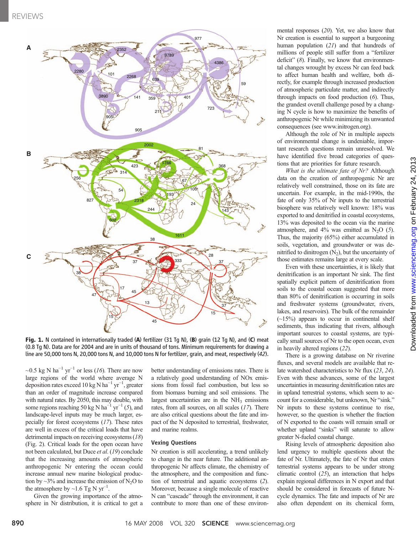

Fig. 1. N contained in internationally traded (A) fertilizer (31 Tg N), (B) grain (12 Tg N), and (C) meat (0.8 Tg N). Data are for 2004 and are in units of thousand of tons. Minimum requirements for drawing a line are 50,000 tons N, 20,000 tons N, and 10,000 tons N for fertilizer, grain, and meat, respectively (42).

~0.5 kg N ha<sup>-1</sup> yr<sup>-1</sup> or less (16). There are now large regions of the world where average N deposition rates exceed 10 kg N ha<sup>-1</sup> yr<sup>-1</sup>, greater than an order of magnitude increase compared with natural rates. By 2050, this may double, with some regions reaching 50 kg N ha<sup> $-1$ </sup> yr<sup> $-1$ </sup> (5), and landscape-level inputs may be much larger, especially for forest ecosystems (17). These rates are well in excess of the critical loads that have detrimental impacts on receiving ecosystems (18) (Fig. 2). Critical loads for the open ocean have not been calculated, but Duce et al. (19) conclude that the increasing amounts of atmospheric anthropogenic Nr entering the ocean could increase annual new marine biological production by  $\sim$ 3% and increase the emission of N<sub>2</sub>O to the atmosphere by  $\sim$ 1.6 Tg N yr<sup>-1</sup>.

Given the growing importance of the atmosphere in Nr distribution, it is critical to get a better understanding of emissions rates. There is a relatively good understanding of NOx emissions from fossil fuel combustion, but less so from biomass burning and soil emissions. The largest uncertainties are in the  $NH<sub>3</sub>$  emissions rates, from all sources, on all scales (17). There are also critical questions about the fate and impact of the N deposited to terrestrial, freshwater, and marine realms.

## Vexing Questions

Nr creation is still accelerating, a trend unlikely to change in the near future. The additional anthropogenic Nr affects climate, the chemistry of the atmosphere, and the composition and function of terrestrial and aquatic ecosystems (2). Moreover, because a single molecule of reactive N can "cascade" through the environment, it can contribute to more than one of these environmental responses (20). Yet, we also know that Nr creation is essential to support a burgeoning human population (21) and that hundreds of millions of people still suffer from a "fertilizer deficit" (8). Finally, we know that environmental changes wrought by excess Nr can feed back to affect human health and welfare, both directly, for example through increased production of atmospheric particulate matter, and indirectly through impacts on food production (6). Thus, the grandest overall challenge posed by a changing N cycle is how to maximize the benefits of anthropogenic Nr while minimizing its unwanted consequences (see www.initrogen.org).

Although the role of Nr in multiple aspects of environmental change is undeniable, important research questions remain unresolved. We have identified five broad categories of questions that are priorities for future research.

What is the ultimate fate of Nr? Although data on the creation of anthropogenic Nr are relatively well constrained, those on its fate are uncertain. For example, in the mid-1990s, the fate of only 35% of Nr inputs to the terrestrial biosphere was relatively well known: 18% was exported to and denitrified in coastal ecosystems, 13% was deposited to the ocean via the marine atmosphere, and  $4\%$  was emitted as N<sub>2</sub>O (5). Thus, the majority (65%) either accumulated in soils, vegetation, and groundwater or was denitrified to dinitrogen  $(N_2)$ , but the uncertainty of those estimates remains large at every scale.

Even with these uncertainties, it is likely that denitrification is an important Nr sink. The first spatially explicit pattern of denitrification from soils to the coastal ocean suggested that more than 80% of denitrification is occurring in soils and freshwater systems (groundwater, rivers, lakes, and reservoirs). The bulk of the remainder  $(-15%)$  appears to occur in continental shelf sediments, thus indicating that rivers, although important sources to coastal systems, are typically small sources of Nr to the open ocean, even in heavily altered regions (22).

There is a growing database on Nr riverine fluxes, and several models are available that relate watershed characteristics to Nr flux (23, 24). Even with these advances, some of the largest uncertainties in measuring denitrification rates are in upland terrestrial systems, which seem to account for a considerable, but unknown, Nr "sink." Nr inputs to these systems continue to rise, however, so the question is whether the fraction of N exported to the coasts will remain small or whether upland "sinks" will saturate to allow greater N-fueled coastal change.

Rising levels of atmospheric deposition also lend urgency to multiple questions about the fate of Nr. Ultimately, the fate of Nr that enters terrestrial systems appears to be under strong climatic control  $(25)$ , an interaction that helps explain regional differences in N export and that should be considered in forecasts of future Ncycle dynamics. The fate and impacts of Nr are also often dependent on its chemical form,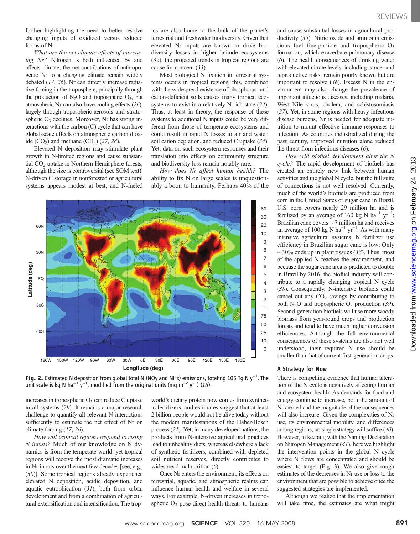further highlighting the need to better resolve changing inputs of oxidized versus reduced forms of Nr.

What are the net climate effects of increasing Nr? Nitrogen is both influenced by and affects climate; the net contributions of anthropogenic Nr to a changing climate remain widely debated (17, 26). Nr can directly increase radiative forcing in the troposphere, principally through the production of  $N_2O$  and tropospheric  $O_3$ , but atmospheric Nr can also have cooling effects (26), largely through tropospheric aerosols and stratospheric  $O_3$  declines. Moreover, Nr has strong interactions with the carbon (C) cycle that can have global-scale effects on atmospheric carbon dioxide  $(CO<sub>2</sub>)$  and methane  $(CH<sub>4</sub>)$   $(27, 28)$ .

Elevated N deposition may stimulate plant growth in N-limited regions and cause substantial CO<sub>2</sub> uptake in Northern Hemisphere forests, although the size is controversial (see SOM text). N-driven C storage in nonforested or agricultural systems appears modest at best, and N-fueled

ics are also home to the bulk of the planet's terrestrial and freshwater biodiversity. Given that elevated Nr inputs are known to drive biodiversity losses in higher latitude ecosystems (32), the projected trends in tropical regions are cause for concern (33).

Most biological N fixation in terrestrial systems occurs in tropical regions; this, combined with the widespread existence of phosphorus- and cation-deficient soils causes many tropical ecosystems to exist in a relatively N-rich state (34). Thus, at least in theory, the response of these systems to additional N inputs could be very different from those of temperate ecosystems and could result in rapid N losses to air and water, soil cation depletion, and reduced C uptake (34). Yet, data on such ecosystem responses and their translation into effects on community structure and biodiversity loss remain notably rare.

How does Nr affect human health? The ability to fix N on large scales is unquestionably a boon to humanity. Perhaps 40% of the



**Fig. 2.** Estimated N deposition from global total N (NOy and NHx) emissions, totaling 105 Tg N y<sup>-1</sup>. The unit scale is kg N ha<sup>-1</sup> v<sup>-1</sup> modified from the original units (mg m<sup>-2</sup> v<sup>-1</sup>) (16) unit scale is kg N ha<sup>-1</sup> y<sup>-1</sup>, modified from the original units (mg m<sup>-2</sup> y<sup>-1</sup>) (16).

increases in tropospheric  $O<sub>3</sub>$  can reduce C uptake in all systems (29). It remains a major research challenge to quantify all relevant N interactions sufficiently to estimate the net effect of Nr on climate forcing (17, 26).

How will tropical regions respond to rising N inputs? Much of our knowledge on N dynamics is from the temperate world, yet tropical regions will receive the most dramatic increases in Nr inputs over the next few decades [see, e.g., (30)]. Some tropical regions already experience elevated N deposition, acidic deposition, and aquatic eutrophication  $(31)$ , both from urban development and from a combination of agricultural extensification and intensification. The tropworld's dietary protein now comes from synthetic fertilizers, and estimates suggest that at least 2 billion people would not be alive today without the modern manifestations of the Haber-Bosch process (21). Yet, in many developed nations, the products from N-intensive agricultural practices lead to unhealthy diets, whereas elsewhere a lack of synthetic fertilizers, combined with depleted soil nutrient reserves, directly contributes to widespread malnutrition (6).

Once Nr enters the environment, its effects on terrestrial, aquatic, and atmospheric realms can influence human health and welfare in several ways. For example, N-driven increases in tropospheric  $O_3$  pose direct health threats to humans and cause substantial losses in agricultural productivity (35). Nitric oxide and ammonia emissions fuel fine-particle and tropospheric  $O_3$ formation, which exacerbate pulmonary disease (6). The health consequences of drinking water with elevated nitrate levels, including cancer and reproductive risks, remain poorly known but are important to resolve  $(36)$ . Excess N in the environment may also change the prevalence of important infectious diseases, including malaria, West Nile virus, cholera, and schistosomiasis (37). Yet, in some regions with heavy infectious disease burdens, Nr is needed for adequate nutrition to mount effective immune responses to infection. As countries industrialized during the past century, improved nutrition alone reduced the threat from infectious diseases (6).

How will biofuel development alter the N cycle? The rapid development of biofuels has created an entirely new link between human activities and the global N cycle, but the full suite of connections is not well resolved. Currently, much of the world's biofuels are produced from corn in the United States or sugar cane in Brazil. U.S. corn covers nearly 29 million ha and is fertilized by an average of 160 kg N ha<sup>-1</sup> yr<sup>-1</sup>; Brazilian cane covers  $\sim$  7 million ha and receives an average of 100 kg N ha<sup>-1</sup> yr<sup>-1</sup>. As with many intensive agricultural systems, N fertilizer use efficiency in Brazilian sugar cane is low: Only  $\sim$  30% ends up in plant tissues (38). Thus, most of the applied N reaches the environment, and because the sugar cane area is predicted to double in Brazil by 2016, the biofuel industry will contribute to a rapidly changing tropical N cycle (38). Consequently, N-intensive biofuels could cancel out any  $CO<sub>2</sub>$  savings by contributing to both  $N_2O$  and tropospheric  $O_3$  production (39). Second-generation biofuels will use more woody biomass from year-round crops and production forests and tend to have much higher conversion efficiencies. Although the full environmental consequences of these systems are also not well understood, their required N use should be smaller than that of current first-generation crops.

#### A Strategy for Now

There is compelling evidence that human alteration of the N cycle is negatively affecting human and ecosystem health. As demands for food and energy continue to increase, both the amount of Nr created and the magnitude of the consequences will also increase. Given the complexities of Nr use, its environmental mobility, and differences among regions, no single strategy will suffice (40). However, in keeping with the Nanjing Declaration on Nitrogen Management (41), here we highlight the intervention points in the global N cycle where N flows are concentrated and should be easiest to target (Fig. 3). We also give rough estimates of the decreases in Nr use or loss to the environment that are possible to achieve once the suggested strategies are implemented.

Although we realize that the implementation will take time, the estimates are what might